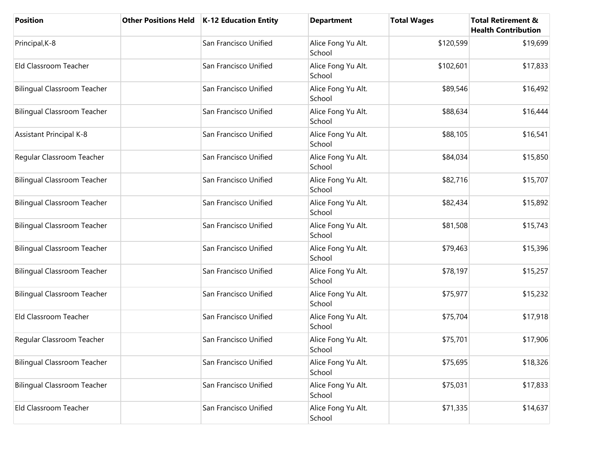| <b>Position</b>                    | <b>Other Positions Held</b> | K-12 Education Entity | <b>Department</b>            | <b>Total Wages</b> | <b>Total Retirement &amp;</b><br><b>Health Contribution</b> |
|------------------------------------|-----------------------------|-----------------------|------------------------------|--------------------|-------------------------------------------------------------|
| Principal, K-8                     |                             | San Francisco Unified | Alice Fong Yu Alt.<br>School | \$120,599          | \$19,699                                                    |
| Eld Classroom Teacher              |                             | San Francisco Unified | Alice Fong Yu Alt.<br>School | \$102,601          | \$17,833                                                    |
| <b>Bilingual Classroom Teacher</b> |                             | San Francisco Unified | Alice Fong Yu Alt.<br>School | \$89,546           | \$16,492                                                    |
| <b>Bilingual Classroom Teacher</b> |                             | San Francisco Unified | Alice Fong Yu Alt.<br>School | \$88,634           | \$16,444                                                    |
| <b>Assistant Principal K-8</b>     |                             | San Francisco Unified | Alice Fong Yu Alt.<br>School | \$88,105           | \$16,541                                                    |
| Regular Classroom Teacher          |                             | San Francisco Unified | Alice Fong Yu Alt.<br>School | \$84,034           | \$15,850                                                    |
| <b>Bilingual Classroom Teacher</b> |                             | San Francisco Unified | Alice Fong Yu Alt.<br>School | \$82,716           | \$15,707                                                    |
| <b>Bilingual Classroom Teacher</b> |                             | San Francisco Unified | Alice Fong Yu Alt.<br>School | \$82,434           | \$15,892                                                    |
| <b>Bilingual Classroom Teacher</b> |                             | San Francisco Unified | Alice Fong Yu Alt.<br>School | \$81,508           | \$15,743                                                    |
| <b>Bilingual Classroom Teacher</b> |                             | San Francisco Unified | Alice Fong Yu Alt.<br>School | \$79,463           | \$15,396                                                    |
| <b>Bilingual Classroom Teacher</b> |                             | San Francisco Unified | Alice Fong Yu Alt.<br>School | \$78,197           | \$15,257                                                    |
| <b>Bilingual Classroom Teacher</b> |                             | San Francisco Unified | Alice Fong Yu Alt.<br>School | \$75,977           | \$15,232                                                    |
| Eld Classroom Teacher              |                             | San Francisco Unified | Alice Fong Yu Alt.<br>School | \$75,704           | \$17,918                                                    |
| Regular Classroom Teacher          |                             | San Francisco Unified | Alice Fong Yu Alt.<br>School | \$75,701           | \$17,906                                                    |
| <b>Bilingual Classroom Teacher</b> |                             | San Francisco Unified | Alice Fong Yu Alt.<br>School | \$75,695           | \$18,326                                                    |
| <b>Bilingual Classroom Teacher</b> |                             | San Francisco Unified | Alice Fong Yu Alt.<br>School | \$75,031           | \$17,833                                                    |
| Eld Classroom Teacher              |                             | San Francisco Unified | Alice Fong Yu Alt.<br>School | \$71,335           | \$14,637                                                    |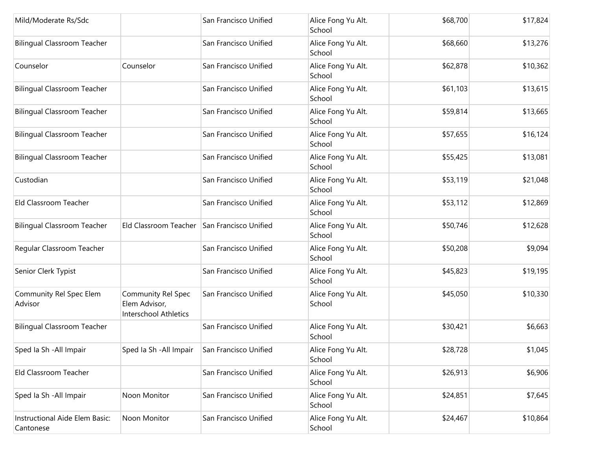| Mild/Moderate Rs/Sdc                        |                                                                     | San Francisco Unified | Alice Fong Yu Alt.<br>School | \$68,700 | \$17,824 |
|---------------------------------------------|---------------------------------------------------------------------|-----------------------|------------------------------|----------|----------|
| <b>Bilingual Classroom Teacher</b>          |                                                                     | San Francisco Unified | Alice Fong Yu Alt.<br>School | \$68,660 | \$13,276 |
| Counselor                                   | Counselor                                                           | San Francisco Unified | Alice Fong Yu Alt.<br>School | \$62,878 | \$10,362 |
| <b>Bilingual Classroom Teacher</b>          |                                                                     | San Francisco Unified | Alice Fong Yu Alt.<br>School | \$61,103 | \$13,615 |
| <b>Bilingual Classroom Teacher</b>          |                                                                     | San Francisco Unified | Alice Fong Yu Alt.<br>School | \$59,814 | \$13,665 |
| <b>Bilingual Classroom Teacher</b>          |                                                                     | San Francisco Unified | Alice Fong Yu Alt.<br>School | \$57,655 | \$16,124 |
| <b>Bilingual Classroom Teacher</b>          |                                                                     | San Francisco Unified | Alice Fong Yu Alt.<br>School | \$55,425 | \$13,081 |
| Custodian                                   |                                                                     | San Francisco Unified | Alice Fong Yu Alt.<br>School | \$53,119 | \$21,048 |
| Eld Classroom Teacher                       |                                                                     | San Francisco Unified | Alice Fong Yu Alt.<br>School | \$53,112 | \$12,869 |
| <b>Bilingual Classroom Teacher</b>          | Eld Classroom Teacher                                               | San Francisco Unified | Alice Fong Yu Alt.<br>School | \$50,746 | \$12,628 |
| Regular Classroom Teacher                   |                                                                     | San Francisco Unified | Alice Fong Yu Alt.<br>School | \$50,208 | \$9,094  |
| Senior Clerk Typist                         |                                                                     | San Francisco Unified | Alice Fong Yu Alt.<br>School | \$45,823 | \$19,195 |
| Community Rel Spec Elem<br>Advisor          | <b>Community Rel Spec</b><br>Elem Advisor,<br>Interschool Athletics | San Francisco Unified | Alice Fong Yu Alt.<br>School | \$45,050 | \$10,330 |
| <b>Bilingual Classroom Teacher</b>          |                                                                     | San Francisco Unified | Alice Fong Yu Alt.<br>School | \$30,421 | \$6,663  |
| Sped Ia Sh - All Impair                     | Sped Ia Sh - All Impair                                             | San Francisco Unified | Alice Fong Yu Alt.<br>School | \$28,728 | \$1,045  |
| Eld Classroom Teacher                       |                                                                     | San Francisco Unified | Alice Fong Yu Alt.<br>School | \$26,913 | \$6,906  |
| Sped Ia Sh - All Impair                     | Noon Monitor                                                        | San Francisco Unified | Alice Fong Yu Alt.<br>School | \$24,851 | \$7,645  |
| Instructional Aide Elem Basic:<br>Cantonese | Noon Monitor                                                        | San Francisco Unified | Alice Fong Yu Alt.<br>School | \$24,467 | \$10,864 |